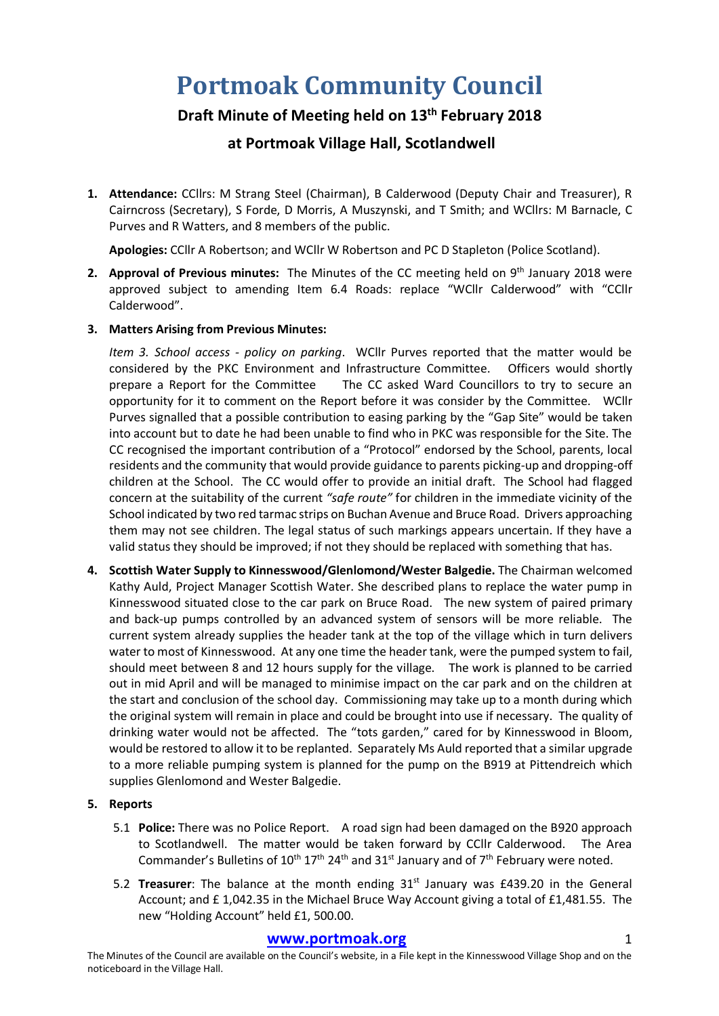# **Portmoak Community Council**

# **Draft Minute of Meeting held on 13th February 2018**

# **at Portmoak Village Hall, Scotlandwell**

**1. Attendance:** CCllrs: M Strang Steel (Chairman), B Calderwood (Deputy Chair and Treasurer), R Cairncross (Secretary), S Forde, D Morris, A Muszynski, and T Smith; and WCllrs: M Barnacle, C Purves and R Watters, and 8 members of the public.

**Apologies:** CCllr A Robertson; and WCllr W Robertson and PC D Stapleton (Police Scotland).

**2. Approval of Previous minutes:** The Minutes of the CC meeting held on 9th January 2018 were approved subject to amending Item 6.4 Roads: replace "WCllr Calderwood" with "CCllr Calderwood".

## **3. Matters Arising from Previous Minutes:**

*Item 3. School access - policy on parking*. WCllr Purves reported that the matter would be considered by the PKC Environment and Infrastructure Committee. Officers would shortly prepare a Report for the Committee The CC asked Ward Councillors to try to secure an opportunity for it to comment on the Report before it was consider by the Committee. WCllr Purves signalled that a possible contribution to easing parking by the "Gap Site" would be taken into account but to date he had been unable to find who in PKC was responsible for the Site. The CC recognised the important contribution of a "Protocol" endorsed by the School, parents, local residents and the community that would provide guidance to parents picking-up and dropping-off children at the School. The CC would offer to provide an initial draft. The School had flagged concern at the suitability of the current *"safe route"* for children in the immediate vicinity of the School indicated by two red tarmac strips on Buchan Avenue and Bruce Road. Drivers approaching them may not see children. The legal status of such markings appears uncertain. If they have a valid status they should be improved; if not they should be replaced with something that has.

**4. Scottish Water Supply to Kinnesswood/Glenlomond/Wester Balgedie.** The Chairman welcomed Kathy Auld, Project Manager Scottish Water. She described plans to replace the water pump in Kinnesswood situated close to the car park on Bruce Road. The new system of paired primary and back-up pumps controlled by an advanced system of sensors will be more reliable. The current system already supplies the header tank at the top of the village which in turn delivers water to most of Kinnesswood. At any one time the header tank, were the pumped system to fail, should meet between 8 and 12 hours supply for the village. The work is planned to be carried out in mid April and will be managed to minimise impact on the car park and on the children at the start and conclusion of the school day. Commissioning may take up to a month during which the original system will remain in place and could be brought into use if necessary. The quality of drinking water would not be affected. The "tots garden," cared for by Kinnesswood in Bloom, would be restored to allow it to be replanted. Separately Ms Auld reported that a similar upgrade to a more reliable pumping system is planned for the pump on the B919 at Pittendreich which supplies Glenlomond and Wester Balgedie.

#### **5. Reports**

- 5.1 **Police:** There was no Police Report. A road sign had been damaged on the B920 approach to Scotlandwell. The matter would be taken forward by CCllr Calderwood. The Area Commander's Bulletins of  $10^{th} 17^{th} 24^{th}$  and  $31^{st}$  January and of  $7^{th}$  February were noted.
- 5.2 **Treasurer**: The balance at the month ending 31<sup>st</sup> January was £439.20 in the General Account; and £ 1,042.35 in the Michael Bruce Way Account giving a total of £1,481.55. The new "Holding Account" held £1, 500.00.

#### **www.portmoak.org** 1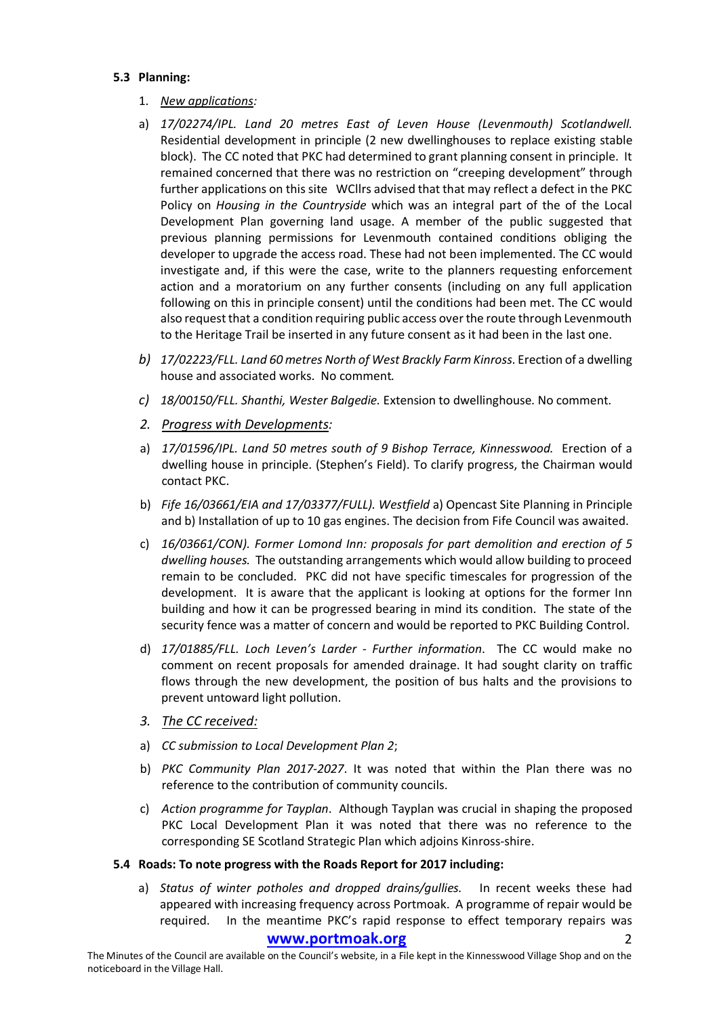#### **5.3 Planning:**

- 1. *New applications:*
- a) *17/02274/IPL. Land 20 metres East of Leven House (Levenmouth) Scotlandwell.* Residential development in principle (2 new dwellinghouses to replace existing stable block). The CC noted that PKC had determined to grant planning consent in principle. It remained concerned that there was no restriction on "creeping development" through further applications on this site WCllrs advised that that may reflect a defect in the PKC Policy on *Housing in the Countryside* which was an integral part of the of the Local Development Plan governing land usage. A member of the public suggested that previous planning permissions for Levenmouth contained conditions obliging the developer to upgrade the access road. These had not been implemented. The CC would investigate and, if this were the case, write to the planners requesting enforcement action and a moratorium on any further consents (including on any full application following on this in principle consent) until the conditions had been met. The CC would also request that a condition requiring public access over the route through Levenmouth to the Heritage Trail be inserted in any future consent as it had been in the last one.
- *b) 17/02223/FLL. Land 60 metres North of West Brackly Farm Kinross*. Erection of a dwelling house and associated works. No comment*.*
- *c) 18/00150/FLL. Shanthi, Wester Balgedie.* Extension to dwellinghouse. No comment.
- *2. Progress with Developments:*
- a) *17/01596/IPL. Land 50 metres south of 9 Bishop Terrace, Kinnesswood.* Erection of a dwelling house in principle. (Stephen's Field). To clarify progress, the Chairman would contact PKC.
- b) *Fife 16/03661/EIA and 17/03377/FULL). Westfield* a) Opencast Site Planning in Principle and b) Installation of up to 10 gas engines. The decision from Fife Council was awaited.
- c) *16/03661/CON). Former Lomond Inn: proposals for part demolition and erection of 5 dwelling houses.* The outstanding arrangements which would allow building to proceed remain to be concluded. PKC did not have specific timescales for progression of the development. It is aware that the applicant is looking at options for the former Inn building and how it can be progressed bearing in mind its condition. The state of the security fence was a matter of concern and would be reported to PKC Building Control.
- d) *17/01885/FLL. Loch Leven's Larder - Further information*. The CC would make no comment on recent proposals for amended drainage. It had sought clarity on traffic flows through the new development, the position of bus halts and the provisions to prevent untoward light pollution.
- *3. The CC received:*
- a) *CC submission to Local Development Plan 2*;
- b) *PKC Community Plan 2017-2027*. It was noted that within the Plan there was no reference to the contribution of community councils.
- c) *Action programme for Tayplan*. Although Tayplan was crucial in shaping the proposed PKC Local Development Plan it was noted that there was no reference to the corresponding SE Scotland Strategic Plan which adjoins Kinross-shire.

#### **5.4 Roads: To note progress with the Roads Report for 2017 including:**

a) *Status of winter potholes and dropped drains/gullies.* In recent weeks these had appeared with increasing frequency across Portmoak. A programme of repair would be required. In the meantime PKC's rapid response to effect temporary repairs was

#### www.portmoak.org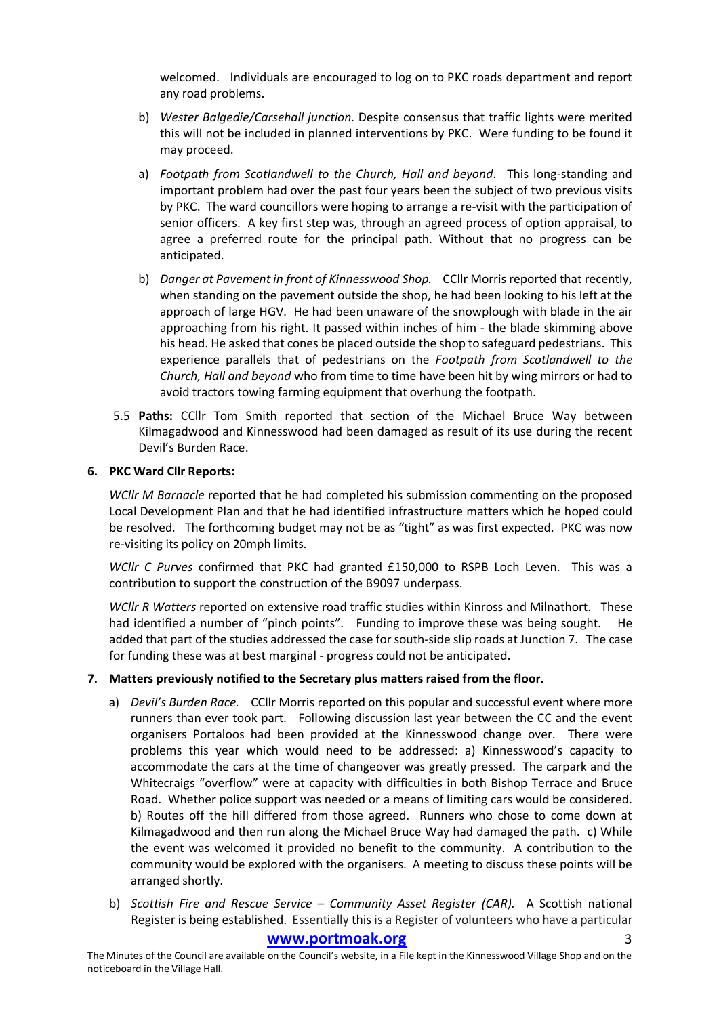welcomed. Individuals are encouraged to log on to PKC roads department and report any road problems.

- b) *Wester Balgedie/Carsehall junction*. Despite consensus that traffic lights were merited this will not be included in planned interventions by PKC. Were funding to be found it may proceed.
- a) *Footpath from Scotlandwell to the Church, Hall and beyond*. This long-standing and important problem had over the past four years been the subject of two previous visits by PKC. The ward councillors were hoping to arrange a re-visit with the participation of senior officers. A key first step was, through an agreed process of option appraisal, to agree a preferred route for the principal path. Without that no progress can be anticipated.
- b) *Danger at Pavement in front of Kinnesswood Shop.* CCllr Morris reported that recently, when standing on the pavement outside the shop, he had been looking to his left at the approach of large HGV. He had been unaware of the snowplough with blade in the air approaching from his right. It passed within inches of him - the blade skimming above his head. He asked that cones be placed outside the shop to safeguard pedestrians. This experience parallels that of pedestrians on the *Footpath from Scotlandwell to the Church, Hall and beyond* who from time to time have been hit by wing mirrors or had to avoid tractors towing farming equipment that overhung the footpath.
- 5.5 **Paths:** CCllr Tom Smith reported that section of the Michael Bruce Way between Kilmagadwood and Kinnesswood had been damaged as result of its use during the recent Devil's Burden Race.

#### **6. PKC Ward Cllr Reports:**

*WCllr M Barnacle* reported that he had completed his submission commenting on the proposed Local Development Plan and that he had identified infrastructure matters which he hoped could be resolved. The forthcoming budget may not be as "tight" as was first expected. PKC was now re-visiting its policy on 20mph limits.

*WCllr C Purves* confirmed that PKC had granted £150,000 to RSPB Loch Leven. This was a contribution to support the construction of the B9097 underpass.

*WCllr R Watters* reported on extensive road traffic studies within Kinross and Milnathort. These had identified a number of "pinch points". Funding to improve these was being sought. He added that part of the studies addressed the case for south-side slip roads at Junction 7. The case for funding these was at best marginal - progress could not be anticipated.

#### **7. Matters previously notified to the Secretary plus matters raised from the floor.**

- a) *Devil's Burden Race.* CCllr Morris reported on this popular and successful event where more runners than ever took part. Following discussion last year between the CC and the event organisers Portaloos had been provided at the Kinnesswood change over. There were problems this year which would need to be addressed: a) Kinnesswood's capacity to accommodate the cars at the time of changeover was greatly pressed. The carpark and the Whitecraigs "overflow" were at capacity with difficulties in both Bishop Terrace and Bruce Road. Whether police support was needed or a means of limiting cars would be considered. b) Routes off the hill differed from those agreed. Runners who chose to come down at Kilmagadwood and then run along the Michael Bruce Way had damaged the path. c) While the event was welcomed it provided no benefit to the community. A contribution to the community would be explored with the organisers. A meeting to discuss these points will be arranged shortly.
- b) *Scottish Fire and Rescue Service – Community Asset Register (CAR).* A Scottish national Register is being established.Essentially this is a Register of volunteers who have a particular

## www.portmoak.org